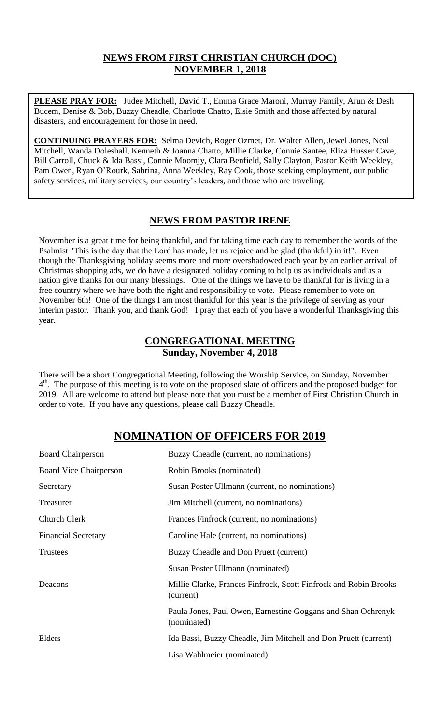## **NEWS FROM FIRST CHRISTIAN CHURCH (DOC) NOVEMBER 1, 2018**

**PLEASE PRAY FOR:** Judee Mitchell, David T., Emma Grace Maroni, Murray Family, Arun & Desh Bucem, Denise & Bob, Buzzy Cheadle, Charlotte Chatto, Elsie Smith and those affected by natural disasters, and encouragement for those in need.

**CONTINUING PRAYERS FOR:** Selma Devich, Roger Ozmet, Dr. Walter Allen, Jewel Jones, Neal Mitchell, Wanda Doleshall, Kenneth & Joanna Chatto, Millie Clarke, Connie Santee, Eliza Husser Cave, Bill Carroll, Chuck & Ida Bassi, Connie Moomjy, Clara Benfield, Sally Clayton, Pastor Keith Weekley, Pam Owen, Ryan O'Rourk, Sabrina, Anna Weekley, Ray Cook, those seeking employment, our public safety services, military services, our country's leaders, and those who are traveling.

## **NEWS FROM PASTOR IRENE**

November is a great time for being thankful, and for taking time each day to remember the words of the Psalmist "This is the day that the Lord has made, let us rejoice and be glad (thankful) in it!". Even though the Thanksgiving holiday seems more and more overshadowed each year by an earlier arrival of Christmas shopping ads, we do have a designated holiday coming to help us as individuals and as a nation give thanks for our many blessings. One of the things we have to be thankful for is living in a free country where we have both the right and responsibility to vote. Please remember to vote on November 6th! One of the things I am most thankful for this year is the privilege of serving as your interim pastor. Thank you, and thank God! I pray that each of you have a wonderful Thanksgiving this year.

## **CONGREGATIONAL MEETING Sunday, November 4, 2018**

There will be a short Congregational Meeting, following the Worship Service, on Sunday, November 4<sup>th</sup>. The purpose of this meeting is to vote on the proposed slate of officers and the proposed budget for 2019. All are welcome to attend but please note that you must be a member of First Christian Church in order to vote. If you have any questions, please call Buzzy Cheadle.

# **NOMINATION OF OFFICERS FOR 2019**

| <b>Board Chairperson</b>      | Buzzy Cheadle (current, no nominations)                                       |
|-------------------------------|-------------------------------------------------------------------------------|
| <b>Board Vice Chairperson</b> | Robin Brooks (nominated)                                                      |
| Secretary                     | Susan Poster Ullmann (current, no nominations)                                |
| Treasurer                     | Jim Mitchell (current, no nominations)                                        |
| <b>Church Clerk</b>           | Frances Finfrock (current, no nominations)                                    |
| <b>Financial Secretary</b>    | Caroline Hale (current, no nominations)                                       |
| <b>Trustees</b>               | Buzzy Cheadle and Don Pruett (current)                                        |
|                               | Susan Poster Ullmann (nominated)                                              |
| Deacons                       | Millie Clarke, Frances Finfrock, Scott Finfrock and Robin Brooks<br>(current) |
|                               | Paula Jones, Paul Owen, Earnestine Goggans and Shan Ochrenyk<br>(nominated)   |
| Elders                        | Ida Bassi, Buzzy Cheadle, Jim Mitchell and Don Pruett (current)               |
|                               | Lisa Wahlmeier (nominated)                                                    |